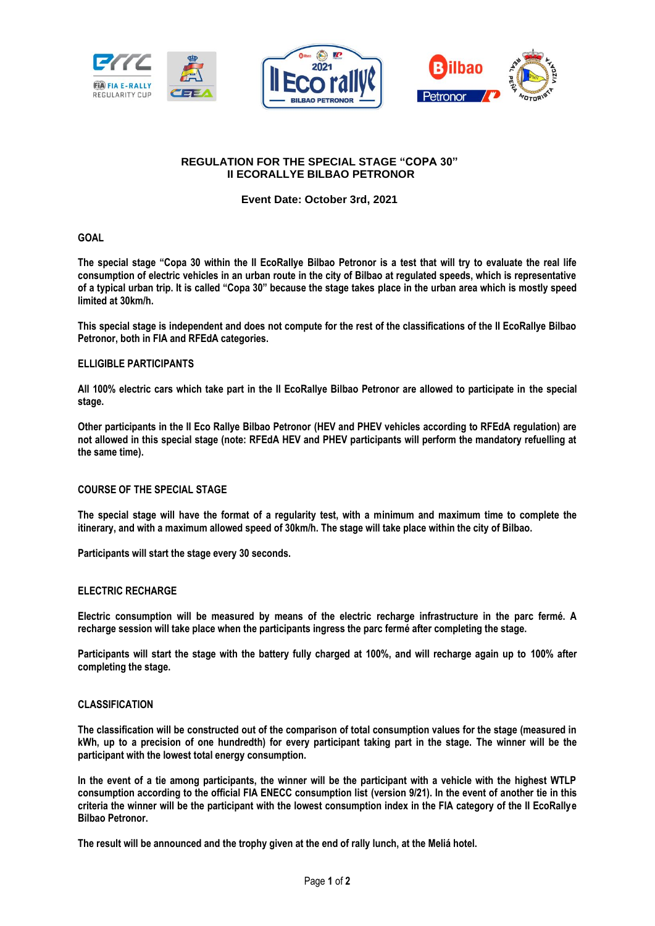





# **REGULATION FOR THE SPECIAL STAGE "COPA 30" II ECORALLYE BILBAO PETRONOR**

**Event Date: October 3rd, 2021**

### **GOAL**

**The special stage "Copa 30 within the II EcoRallye Bilbao Petronor is a test that will try to evaluate the real life consumption of electric vehicles in an urban route in the city of Bilbao at regulated speeds, which is representative of a typical urban trip. It is called "Copa 30" because the stage takes place in the urban area which is mostly speed limited at 30km/h.**

**This special stage is independent and does not compute for the rest of the classifications of the II EcoRallye Bilbao Petronor, both in FIA and RFEdA categories.**

#### **ELLIGIBLE PARTICIPANTS**

**All 100% electric cars which take part in the II EcoRallye Bilbao Petronor are allowed to participate in the special stage.** 

**Other participants in the II Eco Rallye Bilbao Petronor (HEV and PHEV vehicles according to RFEdA regulation) are not allowed in this special stage (note: RFEdA HEV and PHEV participants will perform the mandatory refuelling at the same time).**

## **COURSE OF THE SPECIAL STAGE**

**The special stage will have the format of a regularity test, with a minimum and maximum time to complete the itinerary, and with a maximum allowed speed of 30km/h. The stage will take place within the city of Bilbao.** 

**Participants will start the stage every 30 seconds.**

#### **ELECTRIC RECHARGE**

**Electric consumption will be measured by means of the electric recharge infrastructure in the parc fermé. A recharge session will take place when the participants ingress the parc fermé after completing the stage.**

**Participants will start the stage with the battery fully charged at 100%, and will recharge again up to 100% after completing the stage.**

#### **CLASSIFICATION**

**The classification will be constructed out of the comparison of total consumption values for the stage (measured in kWh, up to a precision of one hundredth) for every participant taking part in the stage. The winner will be the participant with the lowest total energy consumption.**

**In the event of a tie among participants, the winner will be the participant with a vehicle with the highest WTLP consumption according to the official FIA ENECC consumption list (version 9/21). In the event of another tie in this criteria the winner will be the participant with the lowest consumption index in the FIA category of the II EcoRallye Bilbao Petronor.**

**The result will be announced and the trophy given at the end of rally lunch, at the Meliá hotel.**